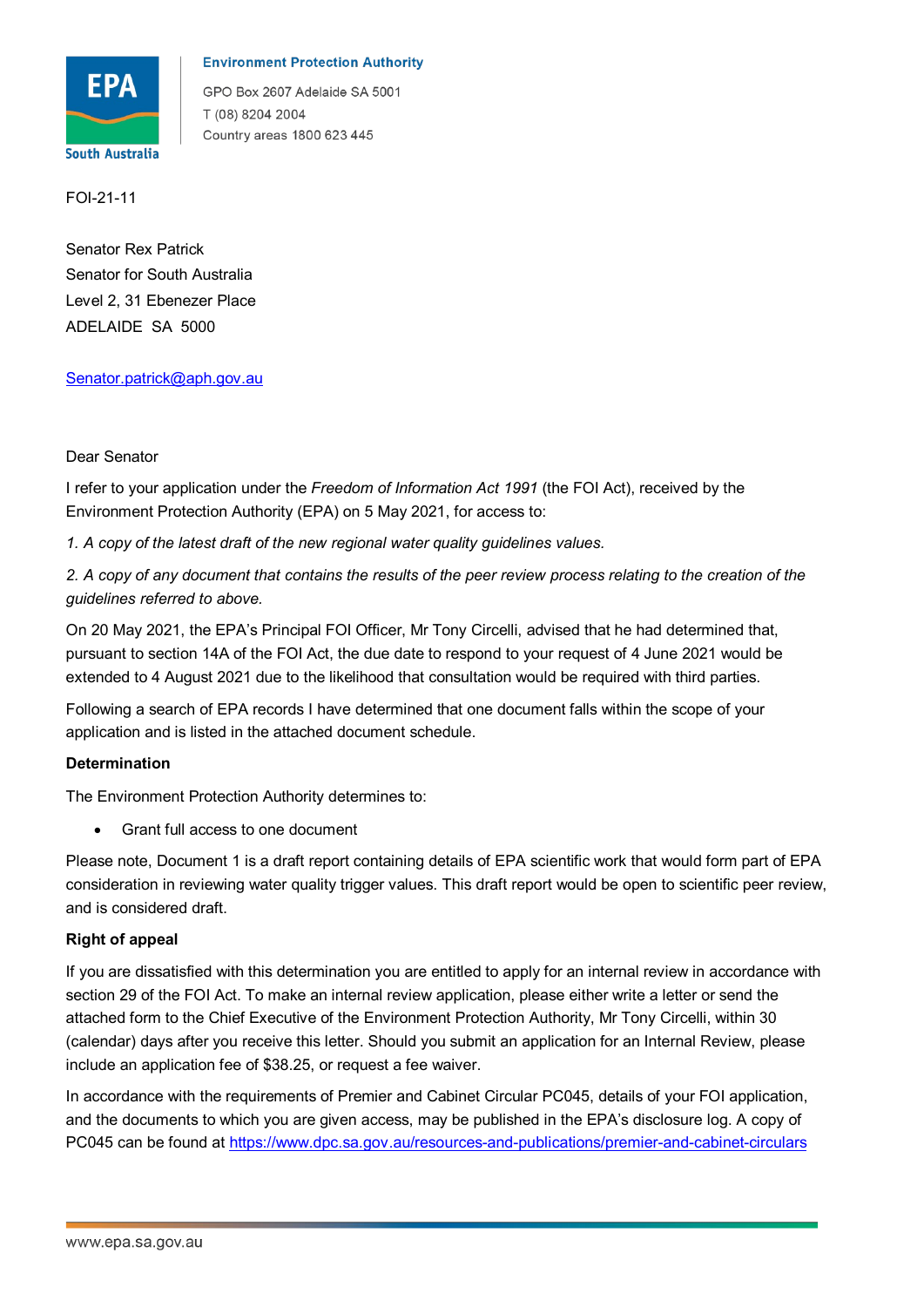

# **Environment Protection Authority**

GPO Box 2607 Adelaide SA 5001 T (08) 8204 2004 Country areas 1800 623 445

FOI-21-11

Senator Rex Patrick Senator for South Australia Level 2, 31 Ebenezer Place ADELAIDE SA 5000

# <u>Senator.patrick@aph.gov.au</u><br>Dear Senator<br>Dear Senator

I refer to your application under the *Freedom of Information Act 1991* (the FOI Act), received by the Environment Protection Authority (EPA) on 5 May 2021, for access to:

*1. A copy of the latest draft of the new regional water quality guidelines values.* 

*2. A copy of any document that contains the results of the peer review process relating to the creation of the guidelines referred to above.* 

 On 20 May 2021, the EPA's Principal FOI Officer, Mr Tony Circelli, advised that he had determined that, pursuant to section 14A of the FOI Act, the due date to respond to your request of 4 June 2021 would be extended to 4 August 2021 due to the likelihood that consultation would be required with third parties.

Following a search of EPA records I have determined that one document falls within the scope of your application and is listed in the attached document schedule.

# **Determination**

The Environment Protection Authority determines to:

• Grant full access to one document

Please note, Document 1 is a draft report containing details of EPA scientific work that would form part of EPA consideration in reviewing water quality trigger values. This draft report would be open to scientific peer review, and is considered draft.

# **Right of appeal**

If you are dissatisfied with this determination you are entitled to apply for an internal review in accordance with section 29 of the FOI Act. To make an internal review application, please either write a letter or send the attached form to the Chief Executive of the Environment Protection Authority, Mr Tony Circelli, within 30 (calendar) days after you receive this letter. Should you submit an application for an Internal Review, please include an application fee of \$38.25, or request a fee waiver.

 and the documents to which you are given access, may be published in the EPA's disclosure log. A copy of In accordance with the requirements of Premier and Cabinet Circular PC045, details of your FOI application, PC045 can be found at <https://www.dpc.sa.gov.au/resources-and-publications/premier-and-cabinet-circulars>